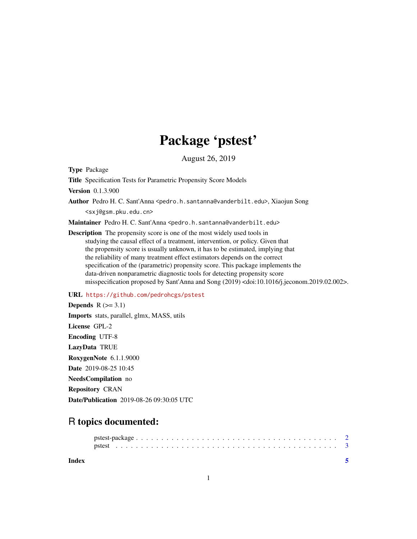### Package 'pstest'

August 26, 2019

Type Package

Title Specification Tests for Parametric Propensity Score Models

Version 0.1.3.900

Author Pedro H. C. Sant'Anna <pedro.h.santanna@vanderbilt.edu>, Xiaojun Song <sxj@gsm.pku.edu.cn>

Maintainer Pedro H. C. Sant'Anna <pedro.h.santanna@vanderbilt.edu>

Description The propensity score is one of the most widely used tools in studying the causal effect of a treatment, intervention, or policy. Given that the propensity score is usually unknown, it has to be estimated, implying that the reliability of many treatment effect estimators depends on the correct specification of the (parametric) propensity score. This package implements the data-driven nonparametric diagnostic tools for detecting propensity score misspecification proposed by Sant'Anna and Song (2019) <doi:10.1016/j.jeconom.2019.02.002>.

URL <https://github.com/pedrohcgs/pstest>

Depends  $R$  ( $>=$  3.1) Imports stats, parallel, glmx, MASS, utils License GPL-2 Encoding UTF-8 LazyData TRUE RoxygenNote 6.1.1.9000 Date 2019-08-25 10:45 NeedsCompilation no Repository CRAN Date/Publication 2019-08-26 09:30:05 UTC

## R topics documented:

| Index |  |  |  |  |  |  |  |  |  |  |  |  |  |  |  |  |  |  |  |  |
|-------|--|--|--|--|--|--|--|--|--|--|--|--|--|--|--|--|--|--|--|--|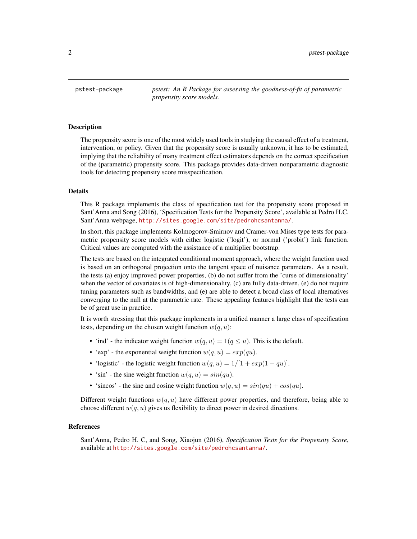<span id="page-1-0"></span>pstest-package *pstest: An R Package for assessing the goodness-of-fit of parametric propensity score models.*

#### Description

The propensity score is one of the most widely used tools in studying the causal effect of a treatment, intervention, or policy. Given that the propensity score is usually unknown, it has to be estimated, implying that the reliability of many treatment effect estimators depends on the correct specification of the (parametric) propensity score. This package provides data-driven nonparametric diagnostic tools for detecting propensity score misspecification.

#### Details

This R package implements the class of specification test for the propensity score proposed in Sant'Anna and Song (2016), 'Specification Tests for the Propensity Score', available at Pedro H.C. Sant'Anna webpage, <http://sites.google.com/site/pedrohcsantanna/>.

In short, this package implements Kolmogorov-Smirnov and Cramer-von Mises type tests for parametric propensity score models with either logistic ('logit'), or normal ('probit') link function. Critical values are computed with the assistance of a multiplier bootstrap.

The tests are based on the integrated conditional moment approach, where the weight function used is based on an orthogonal projection onto the tangent space of nuisance parameters. As a result, the tests (a) enjoy improved power properties, (b) do not suffer from the 'curse of dimensionality' when the vector of covariates is of high-dimensionality, (c) are fully data-driven, (e) do not require tuning parameters such as bandwidths, and (e) are able to detect a broad class of local alternatives converging to the null at the parametric rate. These appealing features highlight that the tests can be of great use in practice.

It is worth stressing that this package implements in a unified manner a large class of specification tests, depending on the chosen weight function  $w(q, u)$ :

- 'ind' the indicator weight function  $w(q, u) = 1(q \le u)$ . This is the default.
- 'exp' the exponential weight function  $w(q, u) = exp(qu)$ .
- 'logistic' the logistic weight function  $w(q, u) = 1/[1 + exp(1 qu)]$ .
- 'sin' the sine weight function  $w(q, u) = \sin(qu)$ .
- 'sincos' the sine and cosine weight function  $w(q, u) = sin(qu) + cos(qu)$ .

Different weight functions  $w(q, u)$  have different power properties, and therefore, being able to choose different  $w(q, u)$  gives us flexibility to direct power in desired directions.

#### References

Sant'Anna, Pedro H. C, and Song, Xiaojun (2016), *Specification Tests for the Propensity Score*, available at <http://sites.google.com/site/pedrohcsantanna/>.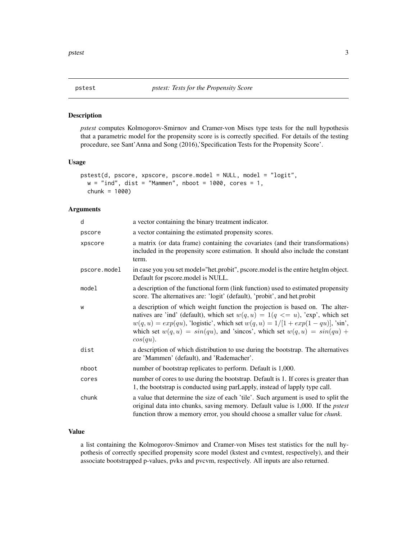<span id="page-2-0"></span>

#### Description

*pstest* computes Kolmogorov-Smirnov and Cramer-von Mises type tests for the null hypothesis that a parametric model for the propensity score is is correctly specified. For details of the testing procedure, see Sant'Anna and Song (2016),'Specification Tests for the Propensity Score'.

#### Usage

```
pstest(d, pscore, xpscore, pscore.model = NULL, model = "logit",
 w = "ind", dist = "Mammen", nboot = 1000, cores = 1,chunk = 1000)
```
#### Arguments

| d            | a vector containing the binary treatment indicator.                                                                                                                                                                                                                                                                                                       |
|--------------|-----------------------------------------------------------------------------------------------------------------------------------------------------------------------------------------------------------------------------------------------------------------------------------------------------------------------------------------------------------|
| pscore       | a vector containing the estimated propensity scores.                                                                                                                                                                                                                                                                                                      |
| xpscore      | a matrix (or data frame) containing the covariates (and their transformations)<br>included in the propensity score estimation. It should also include the constant<br>term.                                                                                                                                                                               |
| pscore.model | in case you you set model="het.probit", pscore.model is the entire hetglm object.<br>Default for pscore.model is NULL.                                                                                                                                                                                                                                    |
| model        | a description of the functional form (link function) used to estimated propensity<br>score. The alternatives are: 'logit' (default), 'probit', and het.probit                                                                                                                                                                                             |
| W            | a description of which weight function the projection is based on. The alter-<br>natives are 'ind' (default), which set $w(q, u) = 1(q \le u)$ , 'exp', which set<br>$w(q, u) = exp(qu)$ , 'logistic', which set $w(q, u) = 1/[1 + exp(1 - qu)]$ , 'sin',<br>which set $w(q, u) = sin(qu)$ , and 'sincos', which set $w(q, u) = sin(qu) +$<br>$cos(qu)$ . |
| dist         | a description of which distribution to use during the bootstrap. The alternatives<br>are 'Mammen' (default), and 'Rademacher'.                                                                                                                                                                                                                            |
| nboot        | number of bootstrap replicates to perform. Default is 1,000.                                                                                                                                                                                                                                                                                              |
| cores        | number of cores to use during the bootstrap. Default is 1. If cores is greater than<br>1, the bootstrap is conducted using parLapply, instead of lapply type call.                                                                                                                                                                                        |
| chunk        | a value that determine the size of each 'tile'. Such argument is used to split the<br>original data into chunks, saving memory. Default value is 1,000. If the <i>pstest</i><br>function throw a memory error, you should choose a smaller value for <i>chunk</i> .                                                                                       |

#### Value

a list containing the Kolmogorov-Smirnov and Cramer-von Mises test statistics for the null hypothesis of correctly specified propensity score model (kstest and cvmtest, respectively), and their associate bootstrapped p-values, pvks and pvcvm, respectively. All inputs are also returned.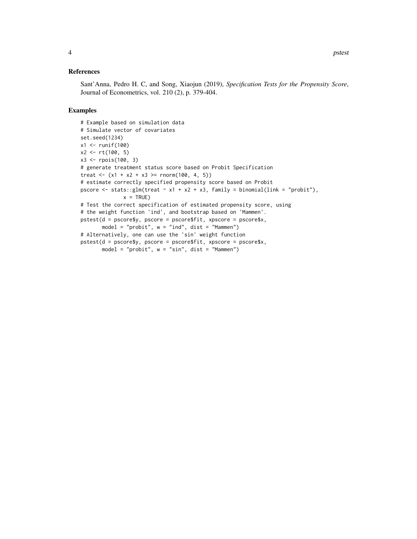#### References

Sant'Anna, Pedro H. C, and Song, Xiaojun (2019), *Specification Tests for the Propensity Score*, Journal of Econometrics, vol. 210 (2), p. 379-404.

#### Examples

```
# Example based on simulation data
# Simulate vector of covariates
set.seed(1234)
x1 <- runif(100)
x2 \le r t(100, 5)x3 <- rpois(100, 3)
# generate treatment status score based on Probit Specification
treat <- (x1 + x2 + x3 \ge r \text{norm}(100, 4, 5))# estimate correctly specified propensity score based on Probit
pscore \le stats::glm(treat \sim x1 + x2 + x3, family = binomial(link = "probit"),
              x = TRUE# Test the correct specification of estimated propensity score, using
# the weight function 'ind', and bootstrap based on 'Mammen'.
pstest(d = pscore$y, pscore = pscore$fit, xpscore = pscore$x,
       model = "probit", w = "ind", dist = "Mammen")
# Alternatively, one can use the 'sin' weight function
pstest(d = pscore$y, pscore = pscore$fit, xpscore = pscore$x,
       model = "probit", w = "sin", dist = "Mammen")
```